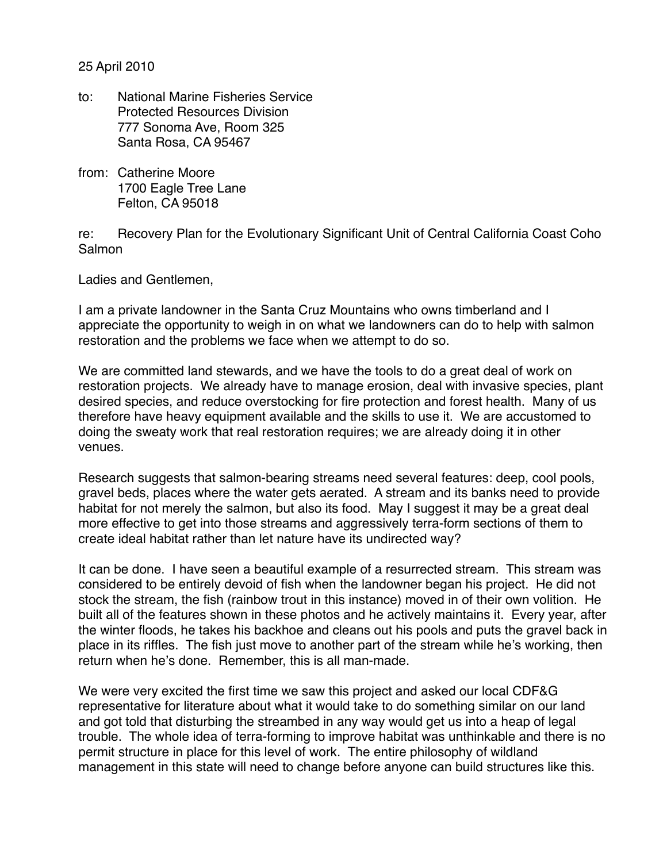25 April 2010

- to: National Marine Fisheries Service Protected Resources Division 777 Sonoma Ave, Room 325 Santa Rosa, CA 95467
- from: Catherine Moore 1700 Eagle Tree Lane Felton, CA 95018

re: Recovery Plan for the Evolutionary Significant Unit of Central California Coast Coho Salmon

Ladies and Gentlemen,

I am a private landowner in the Santa Cruz Mountains who owns timberland and I appreciate the opportunity to weigh in on what we landowners can do to help with salmon restoration and the problems we face when we attempt to do so.

We are committed land stewards, and we have the tools to do a great deal of work on restoration projects. We already have to manage erosion, deal with invasive species, plant desired species, and reduce overstocking for fire protection and forest health. Many of us therefore have heavy equipment available and the skills to use it. We are accustomed to doing the sweaty work that real restoration requires; we are already doing it in other venues.

Research suggests that salmon-bearing streams need several features: deep, cool pools, gravel beds, places where the water gets aerated. A stream and its banks need to provide habitat for not merely the salmon, but also its food. May I suggest it may be a great deal more effective to get into those streams and aggressively terra-form sections of them to create ideal habitat rather than let nature have its undirected way?

It can be done. I have seen a beautiful example of a resurrected stream. This stream was considered to be entirely devoid of fish when the landowner began his project. He did not stock the stream, the fish (rainbow trout in this instance) moved in of their own volition. He built all of the features shown in these photos and he actively maintains it. Every year, after the winter floods, he takes his backhoe and cleans out his pools and puts the gravel back in place in its riffles. The fish just move to another part of the stream while he's working, then return when he's done. Remember, this is all man-made.

We were very excited the first time we saw this project and asked our local CDF&G representative for literature about what it would take to do something similar on our land and got told that disturbing the streambed in any way would get us into a heap of legal trouble. The whole idea of terra-forming to improve habitat was unthinkable and there is no permit structure in place for this level of work. The entire philosophy of wildland management in this state will need to change before anyone can build structures like this.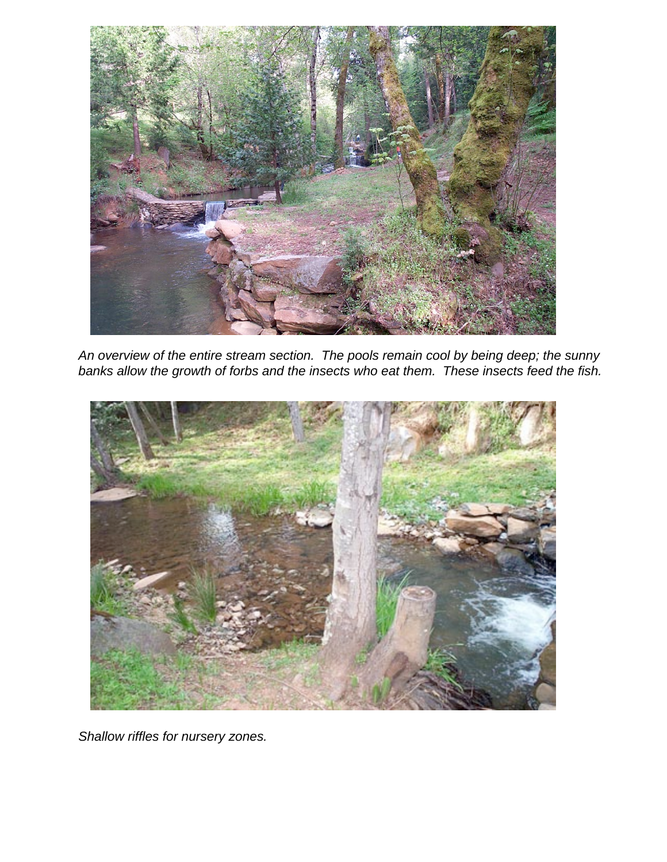

An overview of the entire stream section. The pools remain cool by being deep; the sunny banks allow the growth of forbs and the insects who eat them. These insects feed the fish.



Shallow riffles for nursery zones.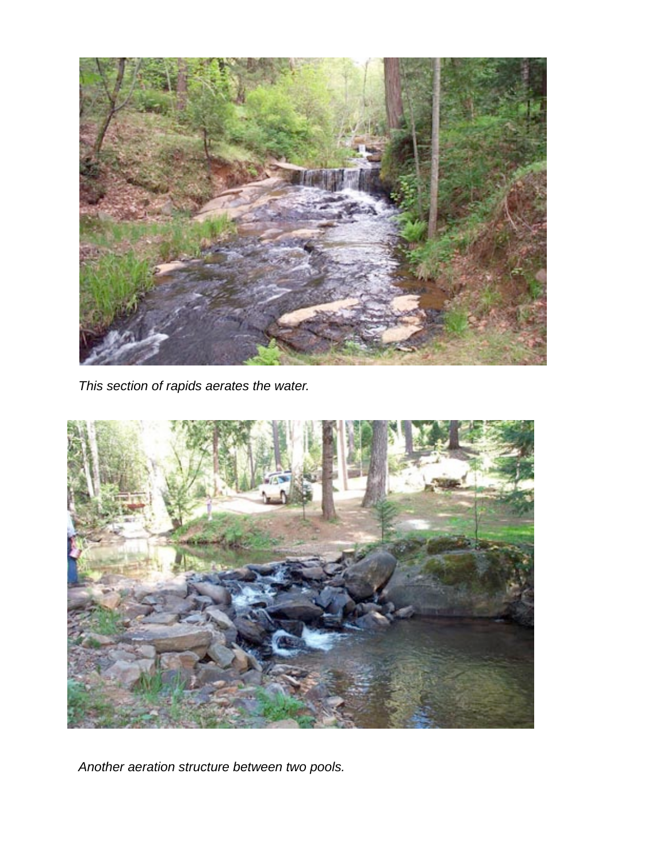

This section of rapids aerates the water.



Another aeration structure between two pools.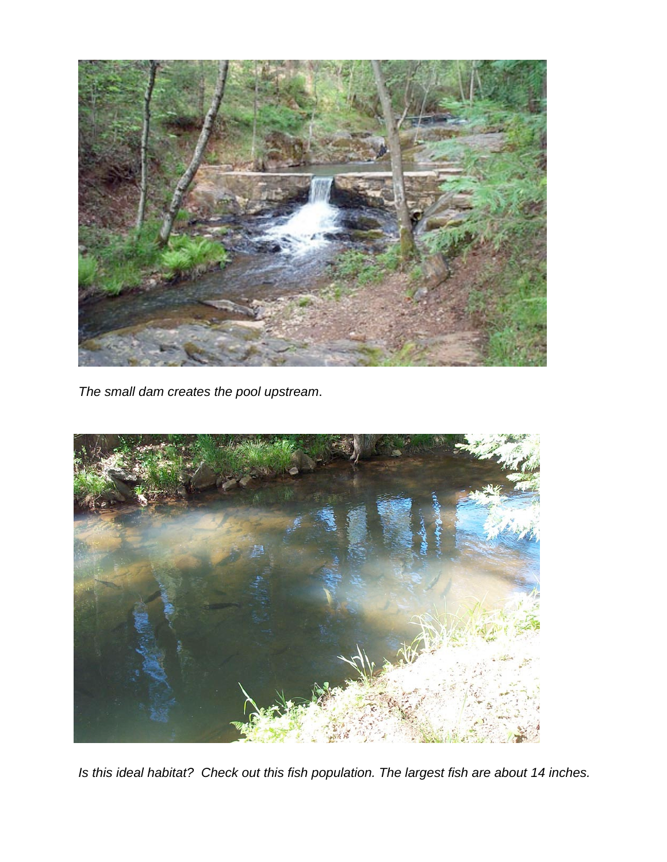

The small dam creates the pool upstream.



Is this ideal habitat? Check out this fish population. The largest fish are about 14 inches.